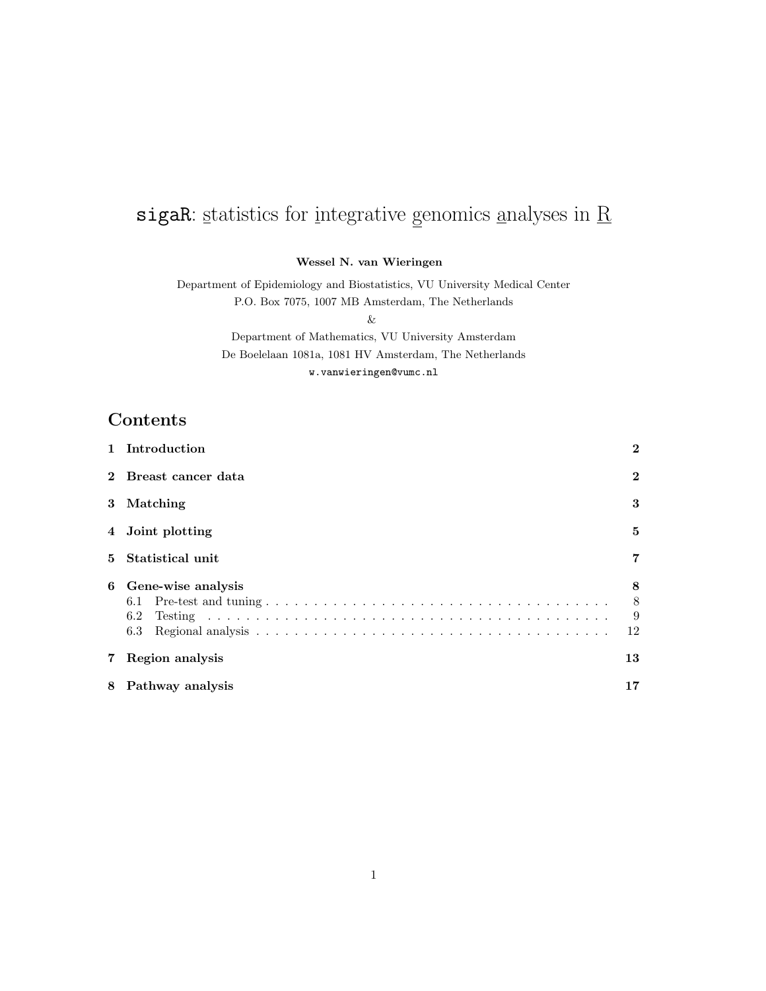# sigaR: statistics for integrative genomics analyses in  $\underline{\mathrm{R}}$

Wessel N. van Wieringen

Department of Epidemiology and Biostatistics, VU University Medical Center P.O. Box 7075, 1007 MB Amsterdam, The Netherlands

&

Department of Mathematics, VU University Amsterdam De Boelelaan 1081a, 1081 HV Amsterdam, The Netherlands w.vanwieringen@vumc.nl

# Contents

|                | 1 Introduction                          | $\bf{2}$          |  |  |  |  |  |  |  |  |  |
|----------------|-----------------------------------------|-------------------|--|--|--|--|--|--|--|--|--|
| $\mathbf{2}$   | Breast cancer data                      | $\bf{2}$          |  |  |  |  |  |  |  |  |  |
|                | 3 Matching                              | 3                 |  |  |  |  |  |  |  |  |  |
|                | 4 Joint plotting                        |                   |  |  |  |  |  |  |  |  |  |
| 5.             | Statistical unit                        |                   |  |  |  |  |  |  |  |  |  |
| 6              | Gene-wise analysis<br>6.1<br>6.2<br>6.3 | 8<br>8<br>9<br>12 |  |  |  |  |  |  |  |  |  |
| $\overline{7}$ | Region analysis                         |                   |  |  |  |  |  |  |  |  |  |
| 8              | Pathway analysis                        |                   |  |  |  |  |  |  |  |  |  |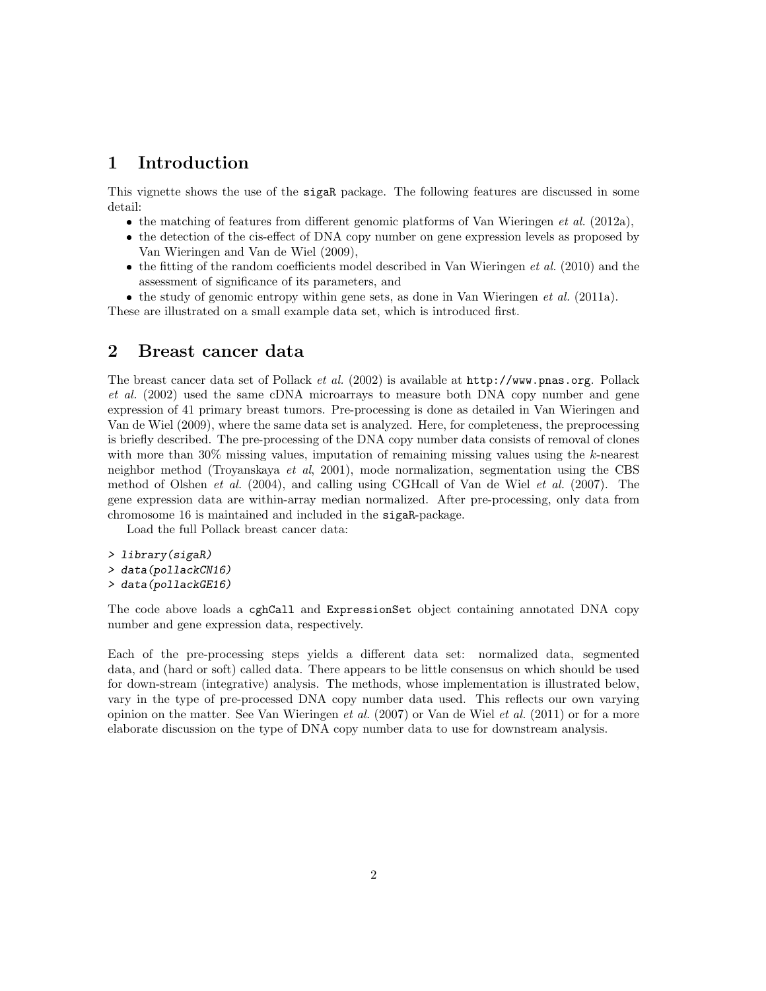# 1 Introduction

This vignette shows the use of the sigaR package. The following features are discussed in some detail:

- $\bullet$  the matching of features from different genomic platforms of Van Wieringen et al. (2012a),
- $\bullet$  the detection of the cis-effect of DNA copy number on gene expression levels as proposed by Van Wieringen and Van de Wiel (2009),
- $\bullet$  the fitting of the random coefficients model described in Van Wieringen *et al.* (2010) and the assessment of significance of its parameters, and
- $\bullet$  the study of genomic entropy within gene sets, as done in Van Wieringen *et al.* (2011a).

These are illustrated on a small example data set, which is introduced first.

# 2 Breast cancer data

The breast cancer data set of Pollack et al. (2002) is available at http://www.pnas.org. Pollack et al. (2002) used the same cDNA microarrays to measure both DNA copy number and gene expression of 41 primary breast tumors. Pre-processing is done as detailed in Van Wieringen and Van de Wiel (2009), where the same data set is analyzed. Here, for completeness, the preprocessing is briefly described. The pre-processing of the DNA copy number data consists of removal of clones with more than 30% missing values, imputation of remaining missing values using the k-nearest neighbor method (Troyanskaya et al, 2001), mode normalization, segmentation using the CBS method of Olshen et al. (2004), and calling using CGHcall of Van de Wiel et al. (2007). The gene expression data are within-array median normalized. After pre-processing, only data from chromosome 16 is maintained and included in the sigaR-package.

Load the full Pollack breast cancer data:

- > library(sigaR)
- > data(pollackCN16)
- > data(pollackGE16)

The code above loads a cghCall and ExpressionSet object containing annotated DNA copy number and gene expression data, respectively.

Each of the pre-processing steps yields a different data set: normalized data, segmented data, and (hard or soft) called data. There appears to be little consensus on which should be used for down-stream (integrative) analysis. The methods, whose implementation is illustrated below, vary in the type of pre-processed DNA copy number data used. This reflects our own varying opinion on the matter. See Van Wieringen et al.  $(2007)$  or Van de Wiel et al.  $(2011)$  or for a more elaborate discussion on the type of DNA copy number data to use for downstream analysis.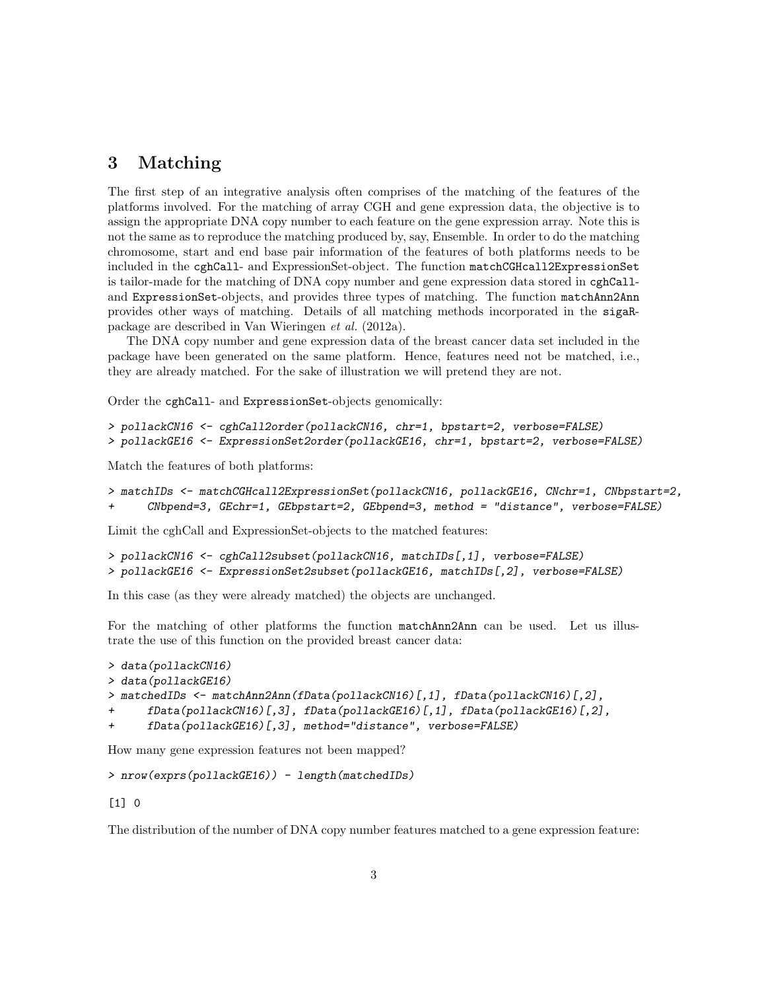# 3 Matching

The first step of an integrative analysis often comprises of the matching of the features of the platforms involved. For the matching of array CGH and gene expression data, the objective is to assign the appropriate DNA copy number to each feature on the gene expression array. Note this is not the same as to reproduce the matching produced by, say, Ensemble. In order to do the matching chromosome, start and end base pair information of the features of both platforms needs to be included in the cghCall- and ExpressionSet-object. The function matchCGHcall2ExpressionSet is tailor-made for the matching of DNA copy number and gene expression data stored in cghCalland ExpressionSet-objects, and provides three types of matching. The function matchAnn2Ann provides other ways of matching. Details of all matching methods incorporated in the sigaRpackage are described in Van Wieringen et al. (2012a).

The DNA copy number and gene expression data of the breast cancer data set included in the package have been generated on the same platform. Hence, features need not be matched, i.e., they are already matched. For the sake of illustration we will pretend they are not.

Order the cghCall- and ExpressionSet-objects genomically:

```
> pollackCN16 <- cghCall2order(pollackCN16, chr=1, bpstart=2, verbose=FALSE)
```
> pollackGE16 <- ExpressionSet2order(pollackGE16, chr=1, bpstart=2, verbose=FALSE)

Match the features of both platforms:

```
> matchIDs <- matchCGHcall2ExpressionSet(pollackCN16, pollackGE16, CNchr=1, CNbpstart=2,
      CNbpend=3, GEchr=1, GEbpstart=2, GEbpend=3, method = "distance", verbose=FALSE)
```
Limit the cghCall and ExpressionSet-objects to the matched features:

```
> pollackCN16 <- cghCall2subset(pollackCN16, matchIDs[,1], verbose=FALSE)
```
> pollackGE16 <- ExpressionSet2subset(pollackGE16, matchIDs[,2], verbose=FALSE)

In this case (as they were already matched) the objects are unchanged.

For the matching of other platforms the function matchAnn2Ann can be used. Let us illustrate the use of this function on the provided breast cancer data:

```
> data(pollackCN16)
> data(pollackGE16)
> matchedIDs <- matchAnn2Ann(fData(pollackCN16)[,1], fData(pollackCN16)[,2],
+ fData(pollackCN16)[,3], fData(pollackGE16)[,1], fData(pollackGE16)[,2],
+ fData(pollackGE16)[,3], method="distance", verbose=FALSE)
```
How many gene expression features not been mapped?

```
> nrow(exprs(pollackGE16)) - length(matchedIDs)
```
[1] 0

The distribution of the number of DNA copy number features matched to a gene expression feature: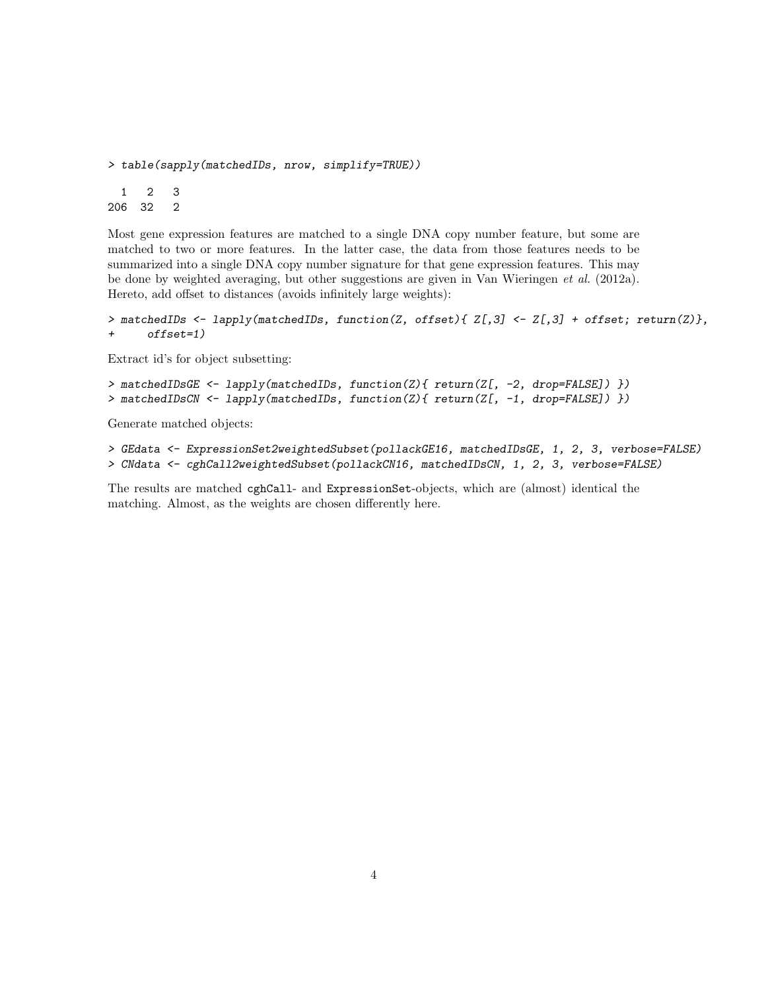```
> table(sapply(matchedIDs, nrow, simplify=TRUE))
 1 2 3
206 32 2
```
Most gene expression features are matched to a single DNA copy number feature, but some are matched to two or more features. In the latter case, the data from those features needs to be summarized into a single DNA copy number signature for that gene expression features. This may be done by weighted averaging, but other suggestions are given in Van Wieringen et al. (2012a). Hereto, add offset to distances (avoids infinitely large weights):

```
> matchedIDs <- lapply(matchedIDs, function(Z, offset){ Z[,3] <- Z[,3] + offset; return(Z)},
+ offset=1)
```
Extract id's for object subsetting:

```
> matchedIDsGE <- lapply(matchedIDs, function(Z){ return(Z[, -2, drop=FALSE]) })
```
> matchedIDsCN <- lapply(matchedIDs, function(Z){ return(Z[, -1, drop=FALSE]) })

Generate matched objects:

```
> GEdata <- ExpressionSet2weightedSubset(pollackGE16, matchedIDsGE, 1, 2, 3, verbose=FALSE)
> CNdata <- cghCall2weightedSubset(pollackCN16, matchedIDsCN, 1, 2, 3, verbose=FALSE)
```
The results are matched cghCall- and ExpressionSet-objects, which are (almost) identical the matching. Almost, as the weights are chosen differently here.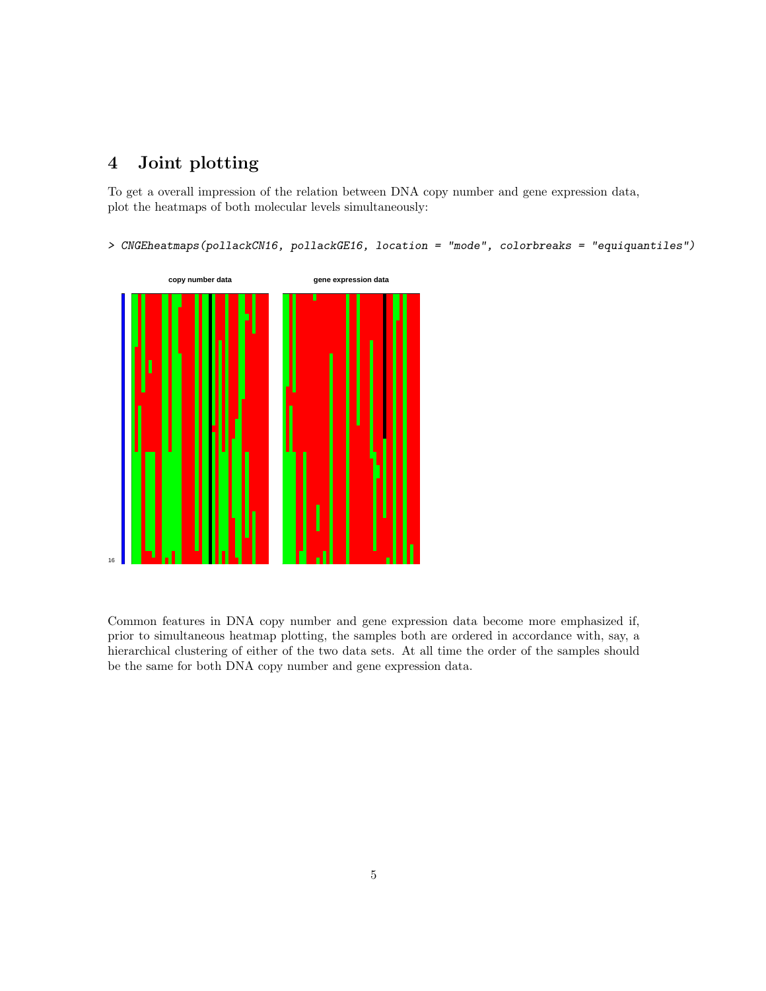# 4 Joint plotting

To get a overall impression of the relation between DNA copy number and gene expression data, plot the heatmaps of both molecular levels simultaneously:

> CNGEheatmaps(pollackCN16, pollackGE16, location = "mode", colorbreaks = "equiquantiles")



Common features in DNA copy number and gene expression data become more emphasized if, prior to simultaneous heatmap plotting, the samples both are ordered in accordance with, say, a hierarchical clustering of either of the two data sets. At all time the order of the samples should be the same for both DNA copy number and gene expression data.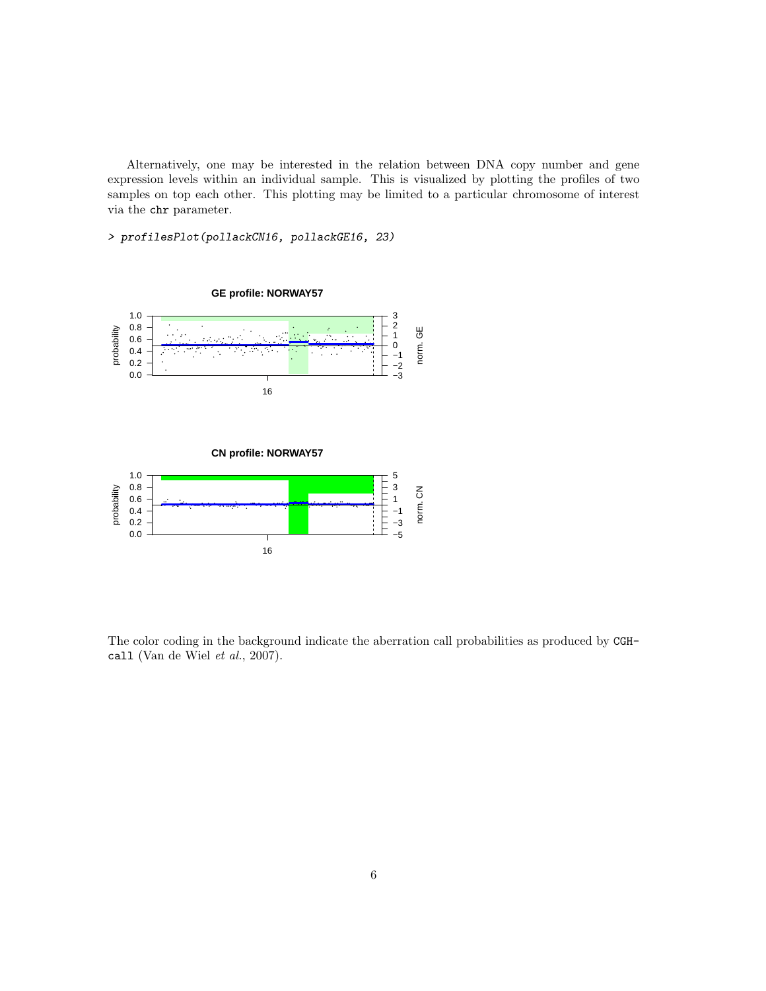Alternatively, one may be interested in the relation between DNA copy number and gene expression levels within an individual sample. This is visualized by plotting the profiles of two samples on top each other. This plotting may be limited to a particular chromosome of interest via the chr parameter.

> profilesPlot(pollackCN16, pollackGE16, 23)



The color coding in the background indicate the aberration call probabilities as produced by CGHcall (Van de Wiel et al., 2007).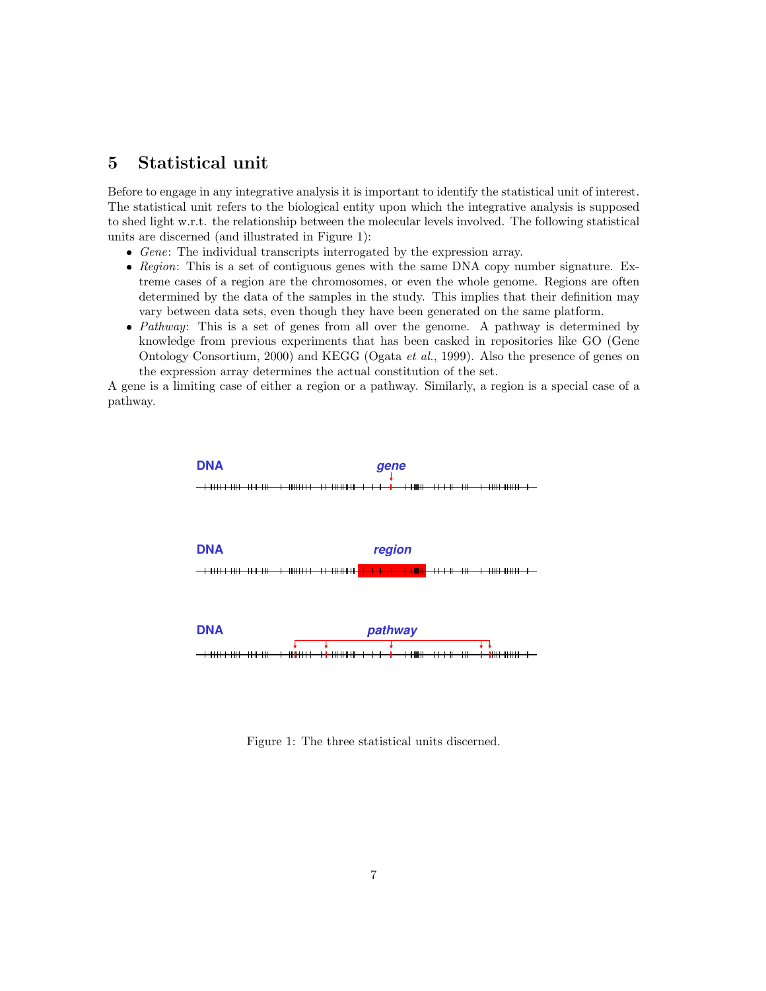# 5 Statistical unit

Before to engage in any integrative analysis it is important to identify the statistical unit of interest. The statistical unit refers to the biological entity upon which the integrative analysis is supposed to shed light w.r.t. the relationship between the molecular levels involved. The following statistical units are discerned (and illustrated in Figure 1):

- $\bullet$  Gene: The individual transcripts interrogated by the expression array.
- Region: This is a set of contiguous genes with the same DNA copy number signature. Extreme cases of a region are the chromosomes, or even the whole genome. Regions are often determined by the data of the samples in the study. This implies that their definition may vary between data sets, even though they have been generated on the same platform.
- Pathway: This is a set of genes from all over the genome. A pathway is determined by knowledge from previous experiments that has been casked in repositories like GO (Gene Ontology Consortium, 2000) and KEGG (Ogata et al., 1999). Also the presence of genes on the expression array determines the actual constitution of the set.

A gene is a limiting case of either a region or a pathway. Similarly, a region is a special case of a pathway.



Figure 1: The three statistical units discerned.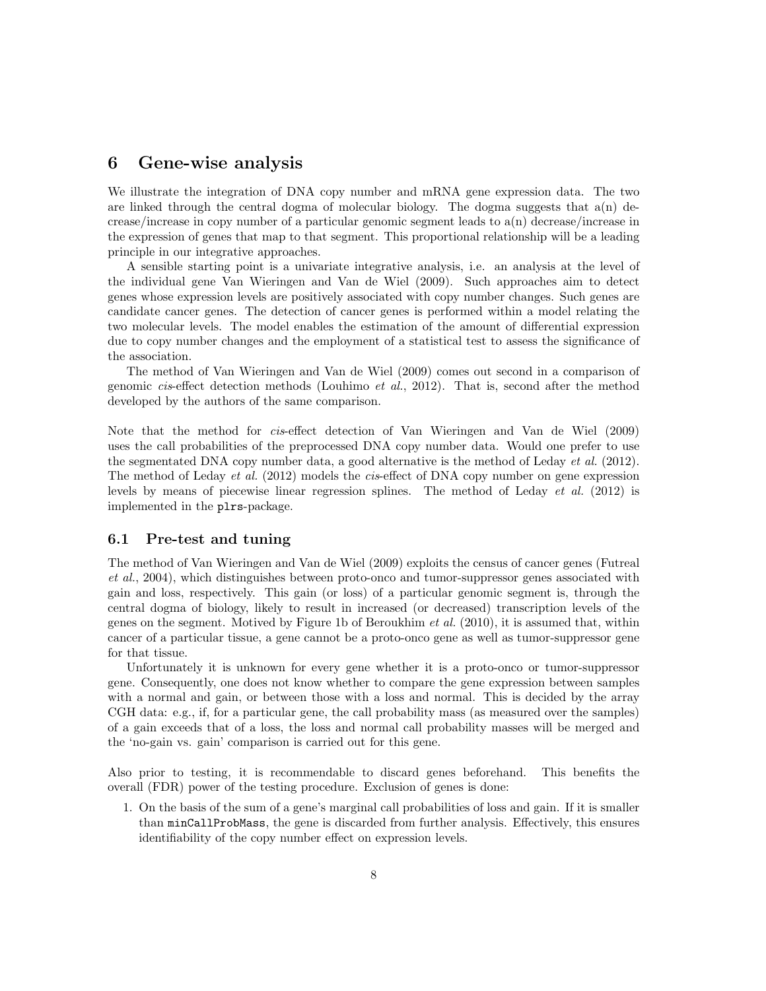## 6 Gene-wise analysis

We illustrate the integration of DNA copy number and mRNA gene expression data. The two are linked through the central dogma of molecular biology. The dogma suggests that  $a(n)$  decrease/increase in copy number of a particular genomic segment leads to a(n) decrease/increase in the expression of genes that map to that segment. This proportional relationship will be a leading principle in our integrative approaches.

A sensible starting point is a univariate integrative analysis, i.e. an analysis at the level of the individual gene Van Wieringen and Van de Wiel (2009). Such approaches aim to detect genes whose expression levels are positively associated with copy number changes. Such genes are candidate cancer genes. The detection of cancer genes is performed within a model relating the two molecular levels. The model enables the estimation of the amount of differential expression due to copy number changes and the employment of a statistical test to assess the significance of the association.

The method of Van Wieringen and Van de Wiel (2009) comes out second in a comparison of genomic cis-effect detection methods (Louhimo et al., 2012). That is, second after the method developed by the authors of the same comparison.

Note that the method for cis-effect detection of Van Wieringen and Van de Wiel (2009) uses the call probabilities of the preprocessed DNA copy number data. Would one prefer to use the segmentated DNA copy number data, a good alternative is the method of Leday *et al.* (2012). The method of Leday *et al.* (2012) models the *cis*-effect of DNA copy number on gene expression levels by means of piecewise linear regression splines. The method of Leday et al. (2012) is implemented in the plrs-package.

#### 6.1 Pre-test and tuning

The method of Van Wieringen and Van de Wiel (2009) exploits the census of cancer genes (Futreal et al., 2004), which distinguishes between proto-onco and tumor-suppressor genes associated with gain and loss, respectively. This gain (or loss) of a particular genomic segment is, through the central dogma of biology, likely to result in increased (or decreased) transcription levels of the genes on the segment. Motived by Figure 1b of Beroukhim et al. (2010), it is assumed that, within cancer of a particular tissue, a gene cannot be a proto-onco gene as well as tumor-suppressor gene for that tissue.

Unfortunately it is unknown for every gene whether it is a proto-onco or tumor-suppressor gene. Consequently, one does not know whether to compare the gene expression between samples with a normal and gain, or between those with a loss and normal. This is decided by the array CGH data: e.g., if, for a particular gene, the call probability mass (as measured over the samples) of a gain exceeds that of a loss, the loss and normal call probability masses will be merged and the 'no-gain vs. gain' comparison is carried out for this gene.

Also prior to testing, it is recommendable to discard genes beforehand. This benefits the overall (FDR) power of the testing procedure. Exclusion of genes is done:

1. On the basis of the sum of a gene's marginal call probabilities of loss and gain. If it is smaller than minCallProbMass, the gene is discarded from further analysis. Effectively, this ensures identifiability of the copy number effect on expression levels.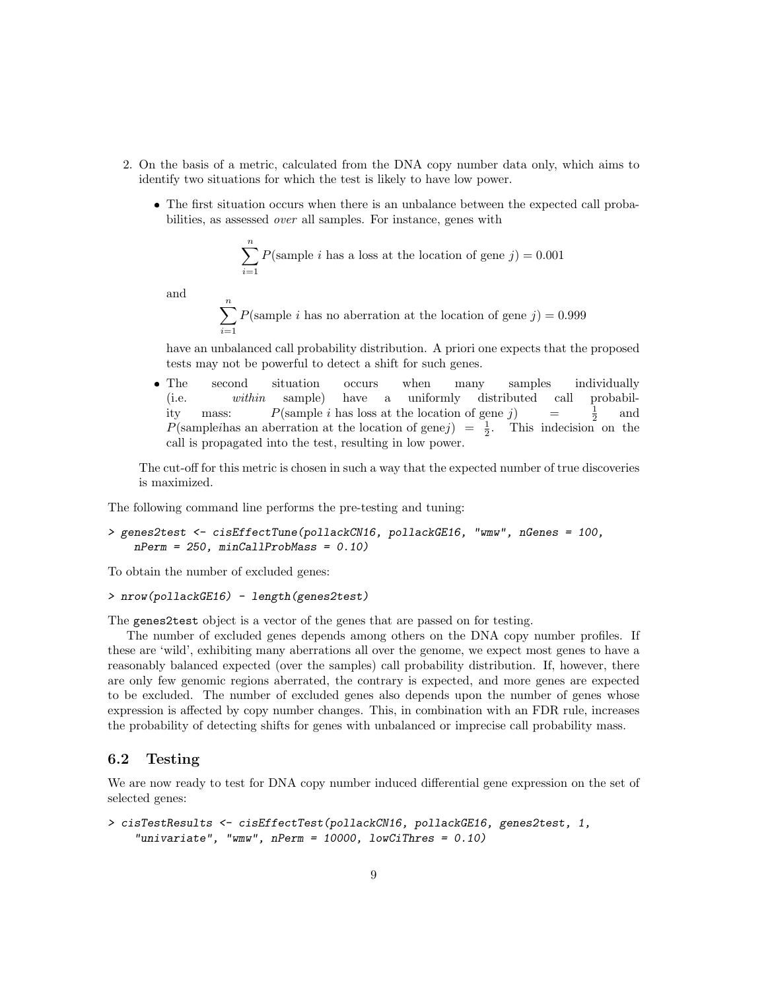- 2. On the basis of a metric, calculated from the DNA copy number data only, which aims to identify two situations for which the test is likely to have low power.
	- The first situation occurs when there is an unbalance between the expected call probabilities, as assessed over all samples. For instance, genes with

$$
\sum_{i=1} P(\text{sample } i \text{ has a loss at the location of gene } j) = 0.001
$$

and

$$
\sum_{i=1}^{n} P(\text{sample } i \text{ has no aberration at the location of gene } j) = 0.999
$$

have an unbalanced call probability distribution. A priori one expects that the proposed tests may not be powerful to detect a shift for such genes.

 $\bullet$  The second situation occurs when many samples individually (i.e. within sample) have a uniformly distributed call probability mass:  $P(\text{sample } i \text{ has loss at the location of gene } j) =$  $\frac{1}{2}$ and  $P(\text{samplei}|\text{has an aberration at the location of gene}j) = \frac{1}{2}$ . This indecision on the call is propagated into the test, resulting in low power.

The cut-off for this metric is chosen in such a way that the expected number of true discoveries is maximized.

The following command line performs the pre-testing and tuning:

```
> genes2test <- cisEffectTune(pollackCN16, pollackGE16, "wmw", nGenes = 100,
    nPerm = 250, minCallProbMass = 0.10)
```
To obtain the number of excluded genes:

```
> nrow(pollackGE16) - length(genes2test)
```
 $\overline{n}$ 

The genes2test object is a vector of the genes that are passed on for testing.

The number of excluded genes depends among others on the DNA copy number profiles. If these are 'wild', exhibiting many aberrations all over the genome, we expect most genes to have a reasonably balanced expected (over the samples) call probability distribution. If, however, there are only few genomic regions aberrated, the contrary is expected, and more genes are expected to be excluded. The number of excluded genes also depends upon the number of genes whose expression is affected by copy number changes. This, in combination with an FDR rule, increases the probability of detecting shifts for genes with unbalanced or imprecise call probability mass.

#### 6.2 Testing

We are now ready to test for DNA copy number induced differential gene expression on the set of selected genes:

```
> cisTestResults <- cisEffectTest(pollackCN16, pollackGE16, genes2test, 1,
    "univariate", "wmw", nPerm = 10000, lowCiThres = 0.10)
```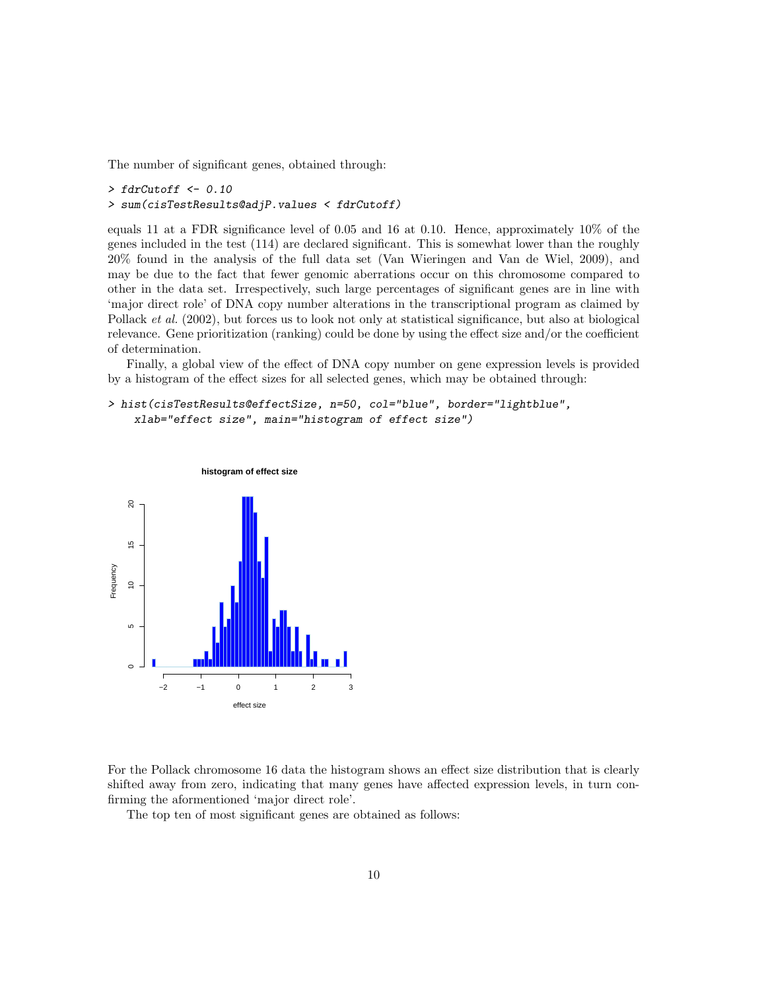The number of significant genes, obtained through:

```
> fdrCutoff <- 0.10
```

```
> sum(cisTestResults@adjP.values < fdrCutoff)
```
equals 11 at a FDR significance level of 0.05 and 16 at 0.10. Hence, approximately 10% of the genes included in the test (114) are declared significant. This is somewhat lower than the roughly 20% found in the analysis of the full data set (Van Wieringen and Van de Wiel, 2009), and may be due to the fact that fewer genomic aberrations occur on this chromosome compared to other in the data set. Irrespectively, such large percentages of significant genes are in line with 'major direct role' of DNA copy number alterations in the transcriptional program as claimed by Pollack et al. (2002), but forces us to look not only at statistical significance, but also at biological relevance. Gene prioritization (ranking) could be done by using the effect size and/or the coefficient of determination.

Finally, a global view of the effect of DNA copy number on gene expression levels is provided by a histogram of the effect sizes for all selected genes, which may be obtained through:

```
> hist(cisTestResults@effectSize, n=50, col="blue", border="lightblue",
    xlab="effect size", main="histogram of effect size")
```


For the Pollack chromosome 16 data the histogram shows an effect size distribution that is clearly shifted away from zero, indicating that many genes have affected expression levels, in turn confirming the aformentioned 'major direct role'.

The top ten of most significant genes are obtained as follows: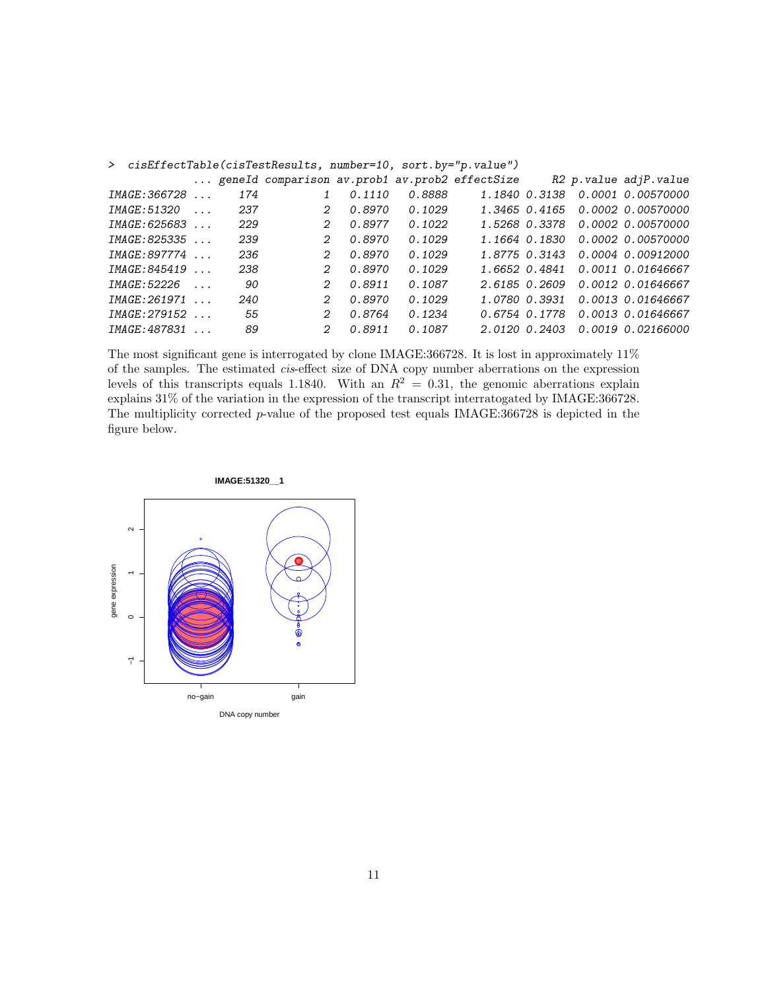|                     |                          |     |               |        |        | > cisEffectTable(cisTestResults, number=10, sort.by="p.value") |               |                         |
|---------------------|--------------------------|-----|---------------|--------|--------|----------------------------------------------------------------|---------------|-------------------------|
|                     |                          |     |               |        |        | geneId comparison av.prob1 av.prob2 effectSize                 |               | R2 p. value adjP. value |
| <i>IMAGE:366728</i> | $\ldots$                 | 174 |               | 0.1110 | 0.8888 |                                                                | 1.1840 0.3138 | 0.0001 0.00570000       |
| <i>IMAGE:51320</i>  | $\mathbf{1}$             | 237 | $\mathcal{L}$ | 0.8970 | 0.1029 |                                                                | 1.3465 0.4165 | 0.0002 0.00570000       |
| IMAGE:625683        |                          | 229 | $\mathcal{L}$ | 0.8977 | 0.1022 |                                                                | 1.5268 0.3378 | 0.0002 0.00570000       |
| IMAGE:825335        |                          | 239 | $\mathcal{P}$ | 0.8970 | 0.1029 |                                                                | 1.1664 0.1830 | 0.0002 0.00570000       |
| IMAGE:897774        |                          | 236 | 2             | 0.8970 | 0.1029 | 1.8775 0.3143                                                  |               | 0.0004 0.00912000       |
| <i>IMAGE:845419</i> | $\ldots$                 | 238 | $\mathcal{P}$ | 0.8970 | 0.1029 | 1.6652 0.4841                                                  |               | 0.0011 0.01646667       |
| <i>IMAGE:52226</i>  | $\ldots$                 | 90  | 2             | 0.8911 | 0.1087 | 2.6185 0.2609                                                  |               | 0.0012 0.01646667       |
| IMAGE:261971        | $\overline{\phantom{a}}$ | 240 | $\mathcal{L}$ | 0.8970 | 0.1029 | 1.0780 0.3931                                                  |               | 0.0013 0.01646667       |
| IMAGE: 279152       |                          | 55  | $\mathcal{P}$ | 0.8764 | 0.1234 | 0.6754 0.1778                                                  |               | 0.0013 0.01646667       |
| IMAGE:487831        |                          | 89  | 2             | 0.8911 | 0.1087 | 2.0120 0.2403                                                  |               | 0.0019 0.02166000       |

The most significant gene is interrogated by clone IMAGE:366728. It is lost in approximately 11% of the samples. The estimated *cis*-effect size of DNA copy number aberrations on the expression levels of this transcripts equals 1.1840. With an  $R^2 = 0.31$ , the genomic aberrations explain explains 31% of the variation in the expression of the transcript interratogated by IMAGE:366728. The multiplicity corrected p-value of the proposed test equals IMAGE:366728 is depicted in the figure below.

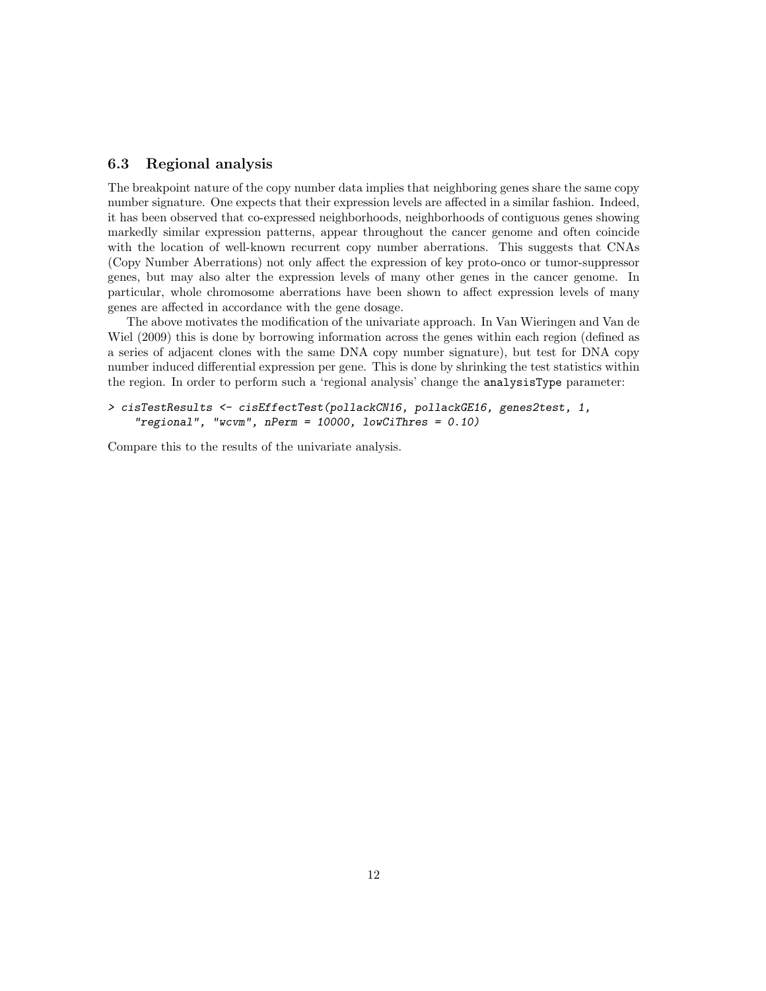#### 6.3 Regional analysis

The breakpoint nature of the copy number data implies that neighboring genes share the same copy number signature. One expects that their expression levels are affected in a similar fashion. Indeed, it has been observed that co-expressed neighborhoods, neighborhoods of contiguous genes showing markedly similar expression patterns, appear throughout the cancer genome and often coincide with the location of well-known recurrent copy number aberrations. This suggests that CNAs (Copy Number Aberrations) not only affect the expression of key proto-onco or tumor-suppressor genes, but may also alter the expression levels of many other genes in the cancer genome. In particular, whole chromosome aberrations have been shown to affect expression levels of many genes are affected in accordance with the gene dosage.

The above motivates the modification of the univariate approach. In Van Wieringen and Van de Wiel (2009) this is done by borrowing information across the genes within each region (defined as a series of adjacent clones with the same DNA copy number signature), but test for DNA copy number induced differential expression per gene. This is done by shrinking the test statistics within the region. In order to perform such a 'regional analysis' change the **analysisType** parameter:

```
> cisTestResults <- cisEffectTest(pollackCN16, pollackGE16, genes2test, 1,
    "regional", "wcvm", nPerm = 10000, lowCiThres = 0.10)
```
Compare this to the results of the univariate analysis.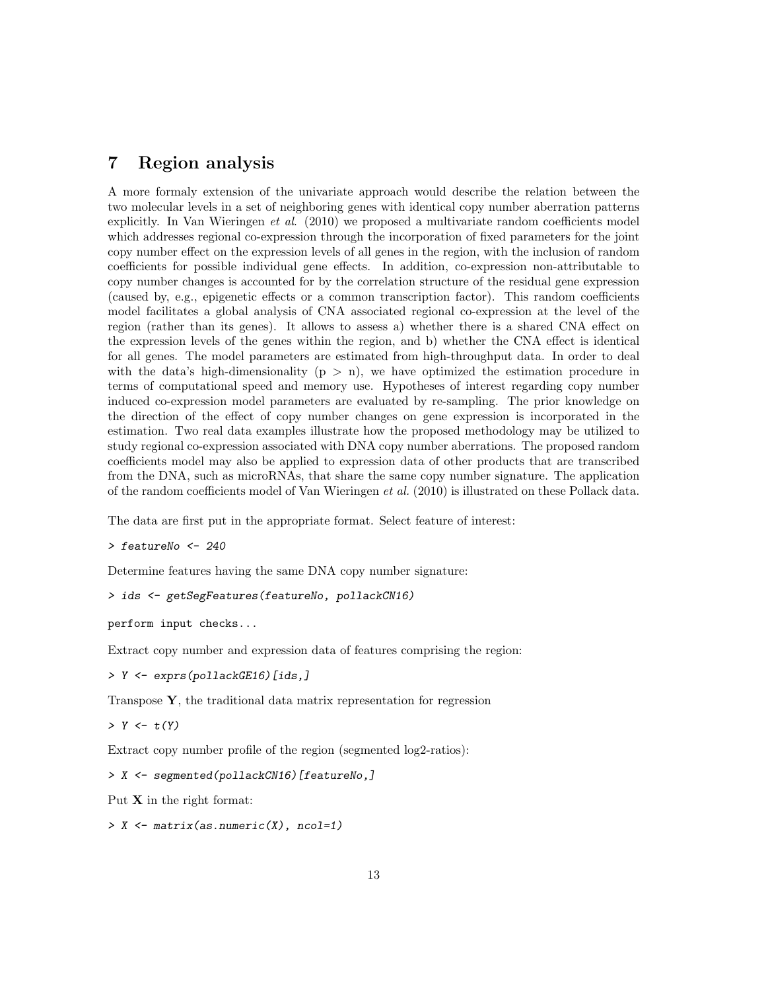# 7 Region analysis

A more formaly extension of the univariate approach would describe the relation between the two molecular levels in a set of neighboring genes with identical copy number aberration patterns explicitly. In Van Wieringen *et al.* (2010) we proposed a multivariate random coefficients model which addresses regional co-expression through the incorporation of fixed parameters for the joint copy number effect on the expression levels of all genes in the region, with the inclusion of random coefficients for possible individual gene effects. In addition, co-expression non-attributable to copy number changes is accounted for by the correlation structure of the residual gene expression (caused by, e.g., epigenetic effects or a common transcription factor). This random coefficients model facilitates a global analysis of CNA associated regional co-expression at the level of the region (rather than its genes). It allows to assess a) whether there is a shared CNA effect on the expression levels of the genes within the region, and b) whether the CNA effect is identical for all genes. The model parameters are estimated from high-throughput data. In order to deal with the data's high-dimensionality  $(p > n)$ , we have optimized the estimation procedure in terms of computational speed and memory use. Hypotheses of interest regarding copy number induced co-expression model parameters are evaluated by re-sampling. The prior knowledge on the direction of the effect of copy number changes on gene expression is incorporated in the estimation. Two real data examples illustrate how the proposed methodology may be utilized to study regional co-expression associated with DNA copy number aberrations. The proposed random coefficients model may also be applied to expression data of other products that are transcribed from the DNA, such as microRNAs, that share the same copy number signature. The application of the random coefficients model of Van Wieringen et al. (2010) is illustrated on these Pollack data.

The data are first put in the appropriate format. Select feature of interest:

> featureNo <- 240

Determine features having the same DNA copy number signature:

> ids <- getSegFeatures(featureNo, pollackCN16)

perform input checks...

Extract copy number and expression data of features comprising the region:

> Y <- exprs(pollackGE16)[ids,]

Transpose  $Y$ , the traditional data matrix representation for regression

 $> Y \leftarrow t(Y)$ 

Extract copy number profile of the region (segmented log2-ratios):

> X <- segmented(pollackCN16)[featureNo,]

Put  $X$  in the right format:

> X <- matrix(as.numeric(X), ncol=1)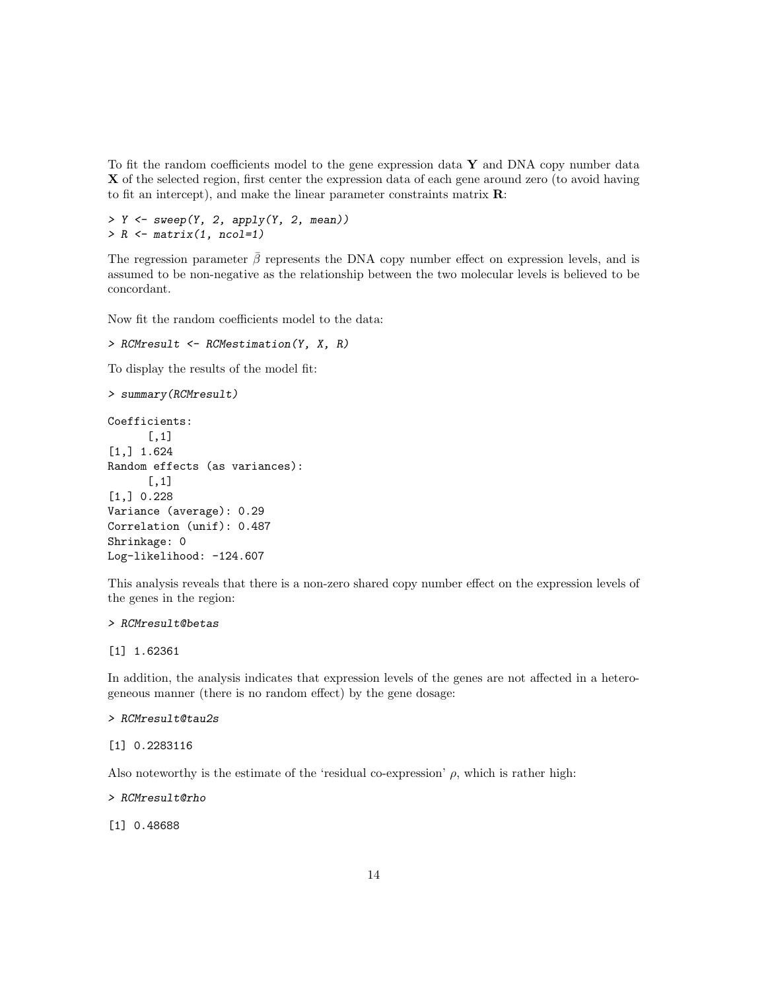To fit the random coefficients model to the gene expression data Y and DNA copy number data X of the selected region, first center the expression data of each gene around zero (to avoid having to fit an intercept), and make the linear parameter constraints matrix  $\mathbf{R}$ :

```
> Y \leftarrow sweep(Y, 2, apply(Y, 2, mean))
> R \leftarrow matrix(1, ncol=1)
```
The regression parameter  $\bar{\beta}$  represents the DNA copy number effect on expression levels, and is assumed to be non-negative as the relationship between the two molecular levels is believed to be concordant.

Now fit the random coefficients model to the data:

```
> RCMresult <- RCMestimation(Y, X, R)
```
To display the results of the model fit:

```
> summary(RCMresult)
Coefficients:
      [,1]
[1,] 1.624
Random effects (as variances):
      [,1]
[1,] 0.228
Variance (average): 0.29
Correlation (unif): 0.487
Shrinkage: 0
Log-likelihood: -124.607
```
This analysis reveals that there is a non-zero shared copy number effect on the expression levels of the genes in the region:

> RCMresult@betas

#### [1] 1.62361

In addition, the analysis indicates that expression levels of the genes are not affected in a heterogeneous manner (there is no random effect) by the gene dosage:

#### > RCMresult@tau2s

[1] 0.2283116

Also noteworthy is the estimate of the 'residual co-expression'  $\rho$ , which is rather high:

> RCMresult@rho

[1] 0.48688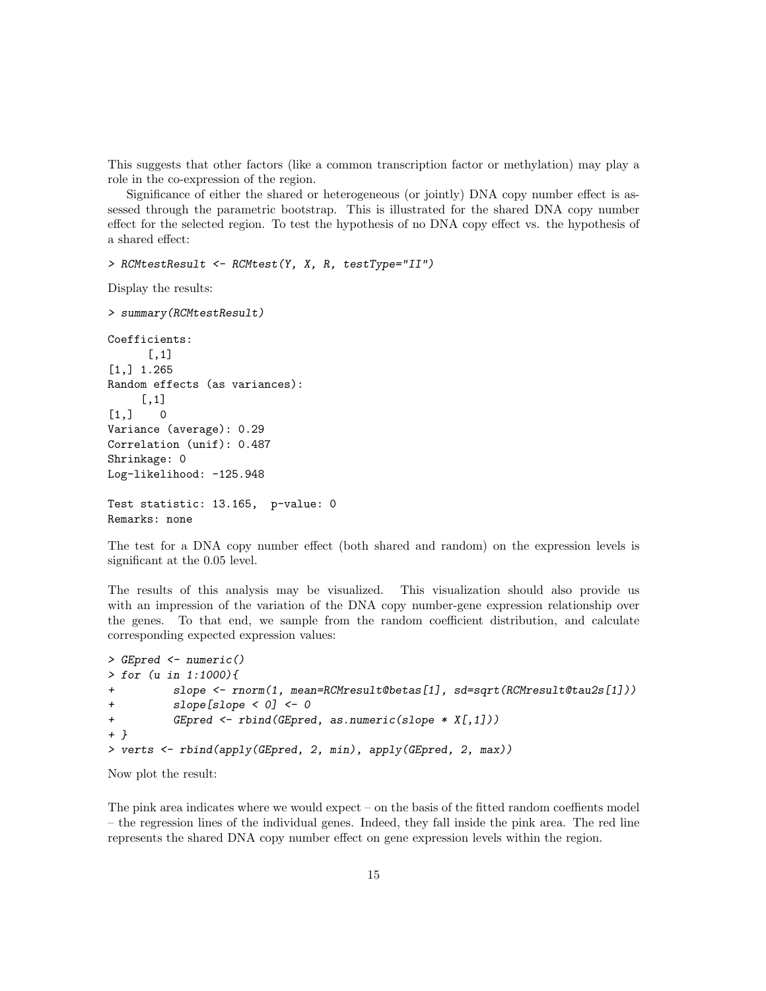This suggests that other factors (like a common transcription factor or methylation) may play a role in the co-expression of the region.

Significance of either the shared or heterogeneous (or jointly) DNA copy number effect is assessed through the parametric bootstrap. This is illustrated for the shared DNA copy number effect for the selected region. To test the hypothesis of no DNA copy effect vs. the hypothesis of a shared effect:

> RCMtestResult <- RCMtest(Y, X, R, testType="II")

Display the results:

```
> summary(RCMtestResult)
```

```
Coefficients:
      [,1]
[1,] 1.265
Random effects (as variances):
     [,1]
[1,] 0Variance (average): 0.29
Correlation (unif): 0.487
Shrinkage: 0
Log-likelihood: -125.948
```

```
Test statistic: 13.165, p-value: 0
Remarks: none
```
The test for a DNA copy number effect (both shared and random) on the expression levels is significant at the 0.05 level.

The results of this analysis may be visualized. This visualization should also provide us with an impression of the variation of the DNA copy number-gene expression relationship over the genes. To that end, we sample from the random coefficient distribution, and calculate corresponding expected expression values:

```
> GEpred <- numeric()
> for (u in 1:1000){
+ slope <- rnorm(1, mean=RCMresult@betas[1], sd=sqrt(RCMresult@tau2s[1]))
+ slope[slope < 0] <- 0
+ GEpred <- rbind(GEpred, as.numeric(slope * X[,1]))
+ }
> verts <- rbind(apply(GEpred, 2, min), apply(GEpred, 2, max))
```
Now plot the result:

The pink area indicates where we would expect – on the basis of the fitted random coeffients model – the regression lines of the individual genes. Indeed, they fall inside the pink area. The red line represents the shared DNA copy number effect on gene expression levels within the region.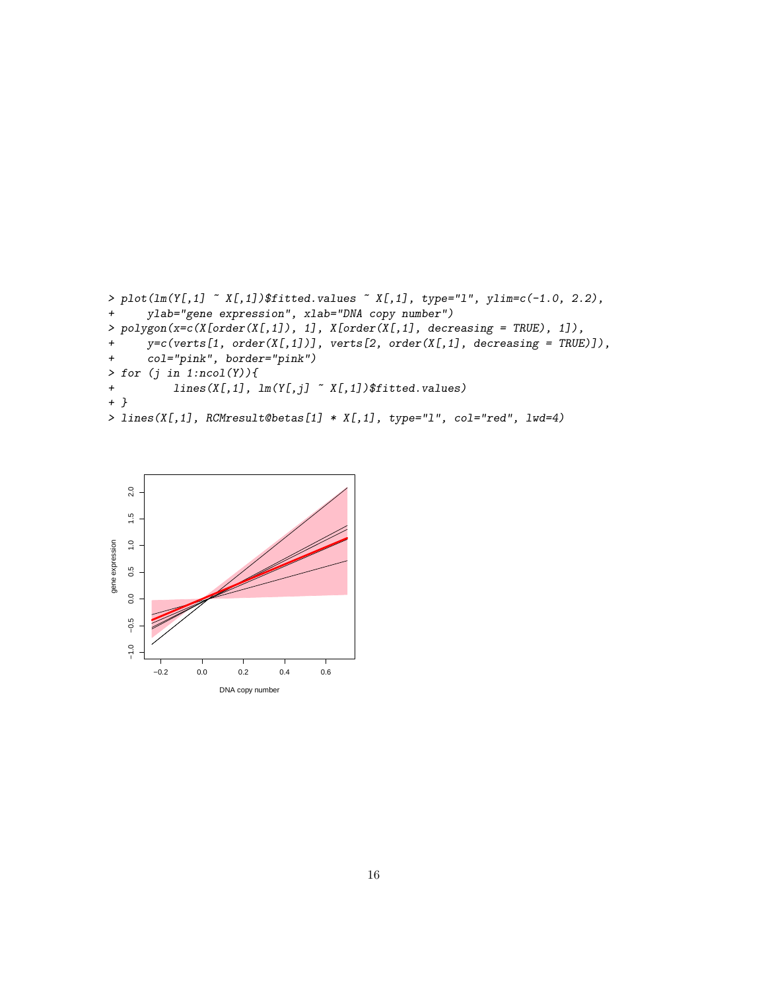```
> plot(Im(Y[,1] \sim X[,1])$fitted.values \sim X[,1], type="1", ylim=c(-1.0, 2.2),
+ ylab="gene expression", xlab="DNA copy number")
> polygon(x=c(X[order(X[,1]), 1], X[order(X[,1], decreasing = TRUE), 1]),
+ y=c(verts[1, order(X[,1])], verts[2, order(X[,1], decreasing = TRUE)]),
+ col="pink", border="pink")
> for (j in 1:ncol(Y)){
+ lines(X[,1], \text{lm}(Y[,j] \sim X[,1])$fitted.values)
+ }
> lines(X[,1], RCMresult@betas[1] * X[,1], type="l", col="red", lwd=4)
```
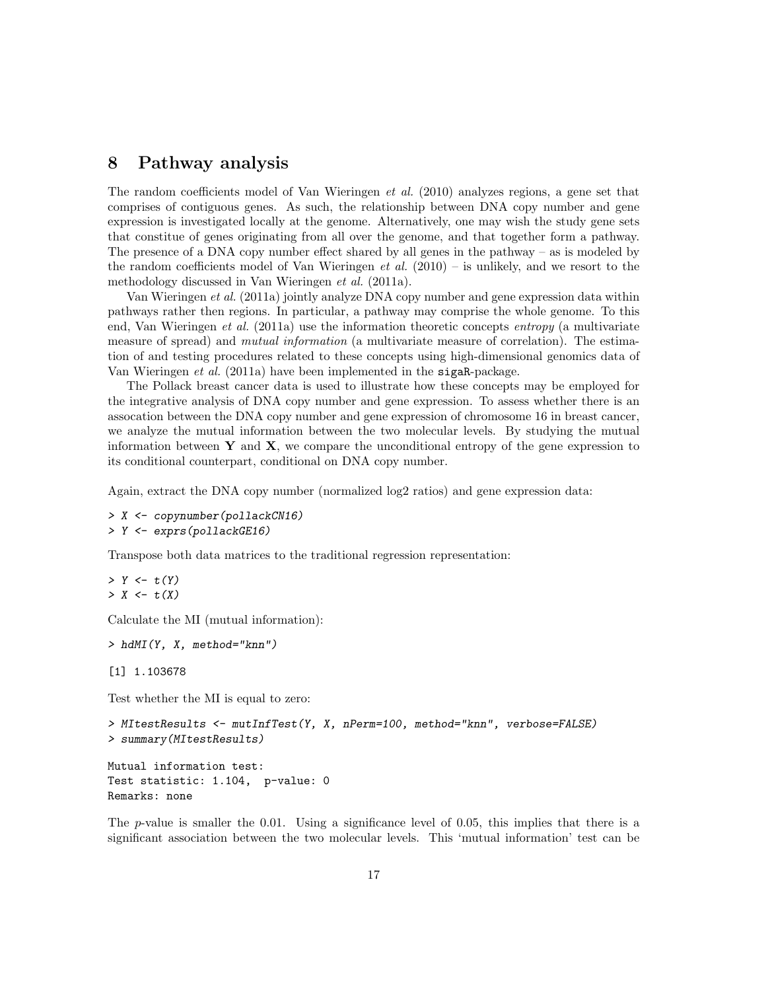## 8 Pathway analysis

The random coefficients model of Van Wieringen et al. (2010) analyzes regions, a gene set that comprises of contiguous genes. As such, the relationship between DNA copy number and gene expression is investigated locally at the genome. Alternatively, one may wish the study gene sets that constitue of genes originating from all over the genome, and that together form a pathway. The presence of a DNA copy number effect shared by all genes in the pathway – as is modeled by the random coefficients model of Van Wieringen *et al.*  $(2010)$  – is unlikely, and we resort to the methodology discussed in Van Wieringen et al. (2011a).

Van Wieringen et al. (2011a) jointly analyze DNA copy number and gene expression data within pathways rather then regions. In particular, a pathway may comprise the whole genome. To this end, Van Wieringen *et al.* (2011a) use the information theoretic concepts *entropy* (a multivariate measure of spread) and *mutual information* (a multivariate measure of correlation). The estimation of and testing procedures related to these concepts using high-dimensional genomics data of Van Wieringen et al. (2011a) have been implemented in the sigaR-package.

The Pollack breast cancer data is used to illustrate how these concepts may be employed for the integrative analysis of DNA copy number and gene expression. To assess whether there is an assocation between the DNA copy number and gene expression of chromosome 16 in breast cancer, we analyze the mutual information between the two molecular levels. By studying the mutual information between  $\bf{Y}$  and  $\bf{X}$ , we compare the unconditional entropy of the gene expression to its conditional counterpart, conditional on DNA copy number.

Again, extract the DNA copy number (normalized log2 ratios) and gene expression data:

```
> X <- copynumber(pollackCN16)
> Y <- exprs(pollackGE16)
```
Transpose both data matrices to the traditional regression representation:

```
> Y \leftarrow t(Y)> X \leftarrow t(X)
```
Calculate the MI (mutual information):

```
> hdMI(Y, X, method="knn")
```
[1] 1.103678

Test whether the MI is equal to zero:

```
> MItestResults <- mutInfTest(Y, X, nPerm=100, method="knn", verbose=FALSE)
> summary(MItestResults)
```
Mutual information test: Test statistic: 1.104, p-value: 0 Remarks: none

The p-value is smaller the 0.01. Using a significance level of 0.05, this implies that there is a significant association between the two molecular levels. This 'mutual information' test can be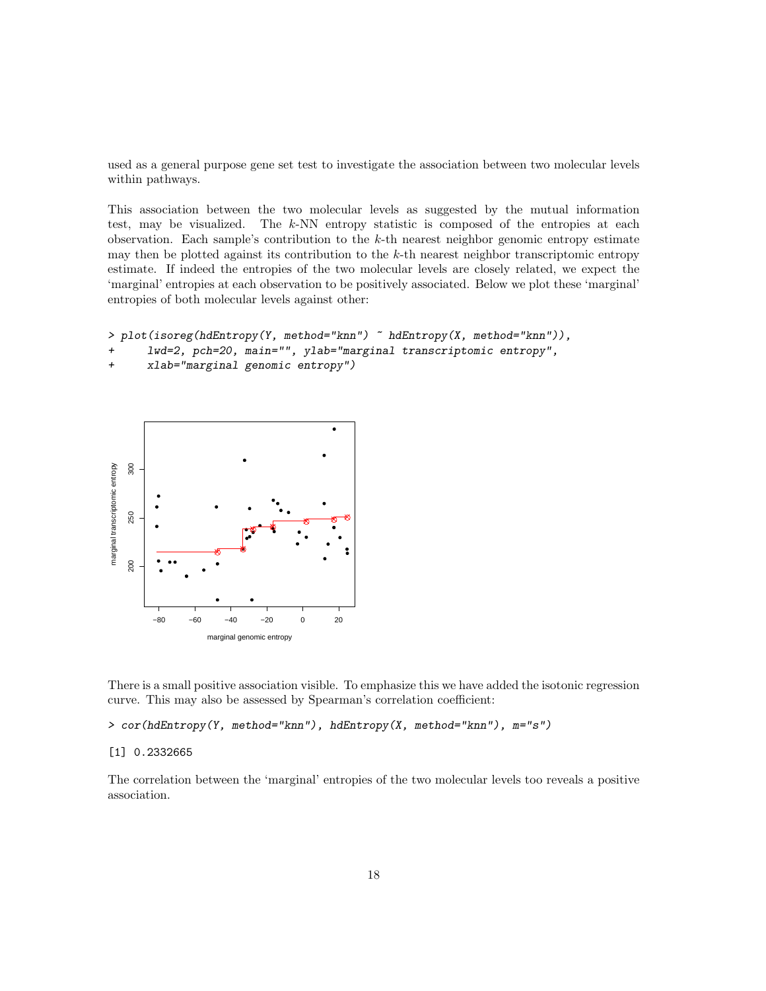used as a general purpose gene set test to investigate the association between two molecular levels within pathways.

This association between the two molecular levels as suggested by the mutual information test, may be visualized. The  $k$ -NN entropy statistic is composed of the entropies at each observation. Each sample's contribution to the  $k$ -th nearest neighbor genomic entropy estimate may then be plotted against its contribution to the  $k$ -th nearest neighbor transcriptomic entropy estimate. If indeed the entropies of the two molecular levels are closely related, we expect the 'marginal' entropies at each observation to be positively associated. Below we plot these 'marginal' entropies of both molecular levels against other:

```
> plot(isoreg(hdEntropy(Y, method="knn") ~ hdEntropy(X, method="knn")),
```
- + lwd=2, pch=20, main="", ylab="marginal transcriptomic entropy",
- + xlab="marginal genomic entropy")



There is a small positive association visible. To emphasize this we have added the isotonic regression curve. This may also be assessed by Spearman's correlation coefficient:

> cor(hdEntropy(Y, method="knn"), hdEntropy(X, method="knn"), m="s")

#### [1] 0.2332665

The correlation between the 'marginal' entropies of the two molecular levels too reveals a positive association.